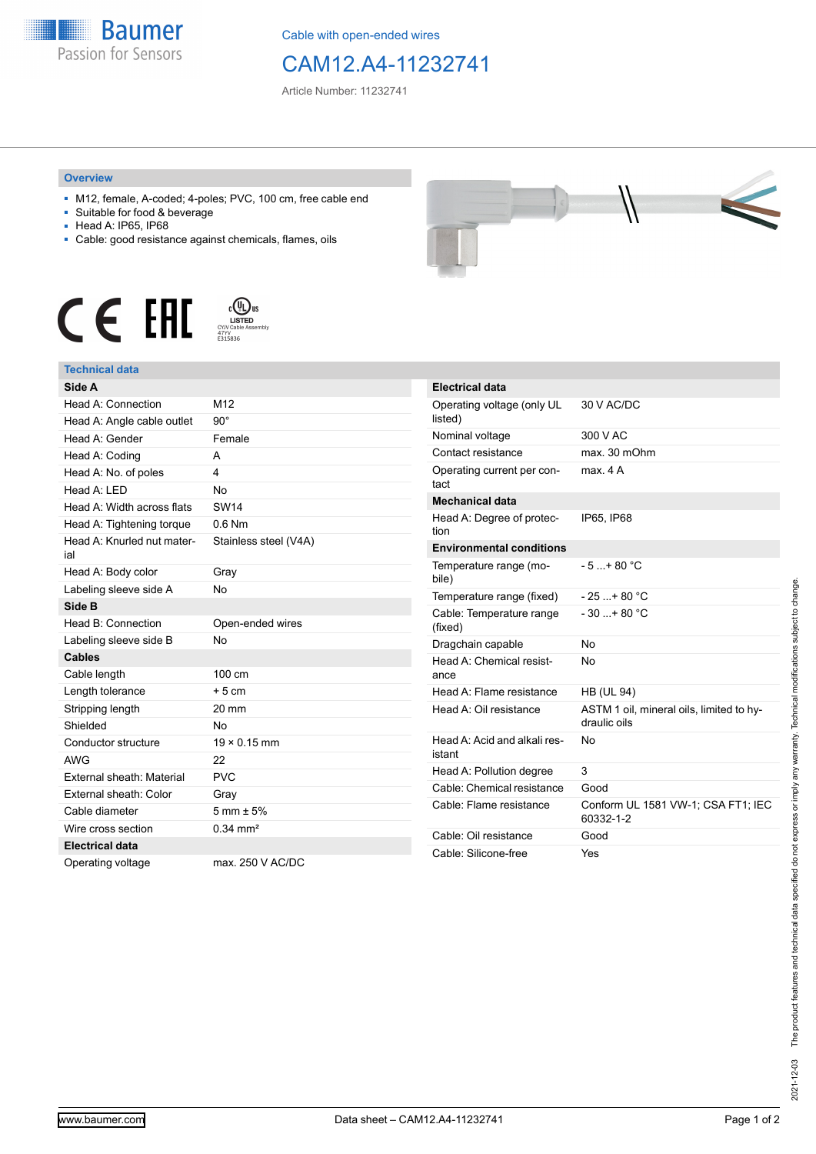

Cable with open-ended wires

## CAM12.A4-11232741

Article Number: 11232741

## **Overview**

- M12, female, A-coded; 4-poles; PVC, 100 cm, free cable end
- Suitable for food & beverage
- Head A: IP65, IP68
- Cable: good resistance against chemicals, flames, oils





## **Technical data**

| Side A                            |                        |
|-----------------------------------|------------------------|
| Head A: Connection                | M12                    |
| Head A: Angle cable outlet        | $90^{\circ}$           |
| Head A: Gender                    | Female                 |
| Head A: Coding                    | А                      |
| Head A: No. of poles              | 4                      |
| Head A: I FD                      | <b>No</b>              |
| Head A: Width across flats        | <b>SW14</b>            |
| Head A: Tightening torque         | $0.6$ Nm               |
| Head A: Knurled nut mater-<br>ial | Stainless steel (V4A)  |
| Head A: Body color                | Gray                   |
| Labeling sleeve side A            | <b>No</b>              |
| Side B                            |                        |
| Head B: Connection                | Open-ended wires       |
| Labeling sleeve side B            | <b>No</b>              |
| <b>Cables</b>                     |                        |
|                                   |                        |
| Cable length                      | 100 cm                 |
| Length tolerance                  | $+5cm$                 |
| Stripping length                  | 20 mm                  |
| Shielded                          | No                     |
| Conductor structure               | $19 \times 0.15$ mm    |
| <b>AWG</b>                        | 22                     |
| External sheath: Material         | <b>PVC</b>             |
| External sheath: Color            | Gray                   |
| Cable diameter                    | $5 \text{ mm} \pm 5\%$ |
| Wire cross section                | $0.34 \, \text{mm}^2$  |
| <b>Electrical data</b>            |                        |

| _                            |  |
|------------------------------|--|
| the property of the property |  |

| <b>Electrical data</b>                 |                                                          |
|----------------------------------------|----------------------------------------------------------|
| Operating voltage (only UL<br>listed)  | 30 V AC/DC                                               |
| Nominal voltage                        | 300 V AC                                                 |
| Contact resistance                     | max. 30 mOhm                                             |
| Operating current per con-<br>tact     | max 4 A                                                  |
| <b>Mechanical data</b>                 |                                                          |
| Head A: Degree of protec-<br>tion      | IP65, IP68                                               |
| <b>Environmental conditions</b>        |                                                          |
| Temperature range (mo-<br>bile)        | $-5 + 80 °C$                                             |
| Temperature range (fixed)              | $-25+80 °C$                                              |
| Cable: Temperature range<br>(fixed)    | $-30$ + 80 °C                                            |
| Dragchain capable                      | N٥                                                       |
| Head A: Chemical resist-<br>ance       | No                                                       |
| Head A: Flame resistance               | <b>HB (UL 94)</b>                                        |
| Head A: Oil resistance                 | ASTM 1 oil, mineral oils, limited to hy-<br>draulic oils |
| Head A: Acid and alkali res-<br>istant | No                                                       |
| Head A: Pollution degree               | 3                                                        |
| Cable: Chemical resistance             | Good                                                     |
| Cable: Flame resistance                | Conform UL 1581 VW-1; CSA FT1; IEC<br>60332-1-2          |
| Cable: Oil resistance                  | Good                                                     |
| Cable: Silicone-free                   | Yes                                                      |